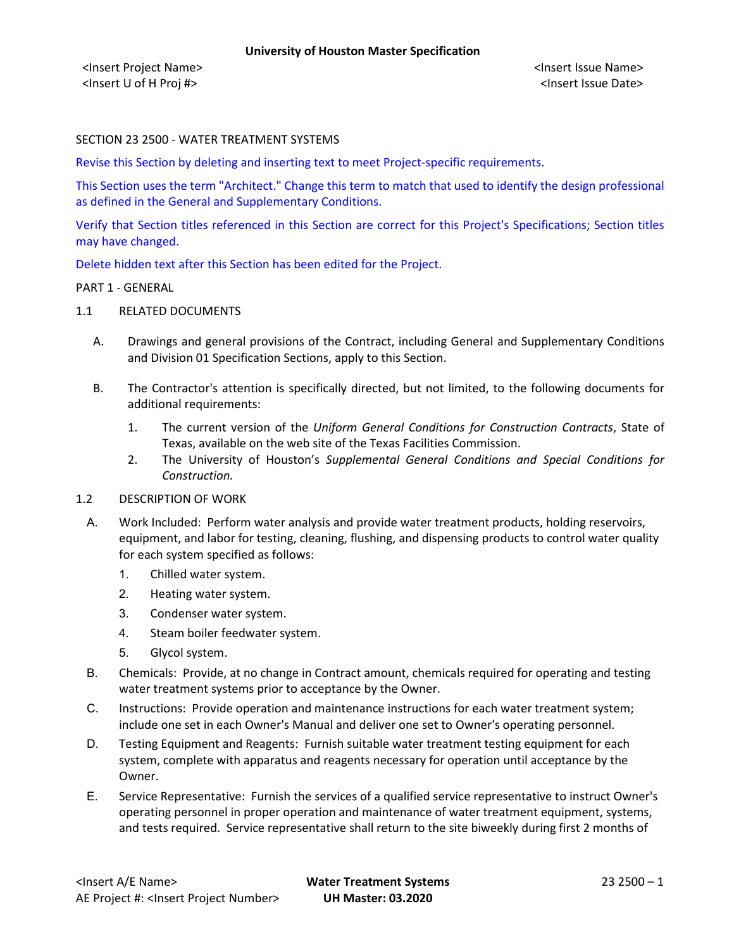# SECTION 23 2500 - WATER TREATMENT SYSTEMS

Revise this Section by deleting and inserting text to meet Project-specific requirements.

This Section uses the term "Architect." Change this term to match that used to identify the design professional as defined in the General and Supplementary Conditions.

Verify that Section titles referenced in this Section are correct for this Project's Specifications; Section titles may have changed.

Delete hidden text after this Section has been edited for the Project.

#### PART 1 - GENERAL

- 1.1 RELATED DOCUMENTS
	- A. Drawings and general provisions of the Contract, including General and Supplementary Conditions and Division 01 Specification Sections, apply to this Section.
	- B. The Contractor's attention is specifically directed, but not limited, to the following documents for additional requirements:
		- 1. The current version of the *Uniform General Conditions for Construction Contracts*, State of Texas, available on the web site of the Texas Facilities Commission.
		- 2. The University of Houston's *Supplemental General Conditions and Special Conditions for Construction.*

### 1.2 DESCRIPTION OF WORK

- A. Work Included: Perform water analysis and provide water treatment products, holding reservoirs, equipment, and labor for testing, cleaning, flushing, and dispensing products to control water quality for each system specified as follows:
	- 1. Chilled water system.
	- 2. Heating water system.
	- 3. Condenser water system.
	- 4. Steam boiler feedwater system.
	- 5. Glycol system.
- B. Chemicals: Provide, at no change in Contract amount, chemicals required for operating and testing water treatment systems prior to acceptance by the Owner.
- C. Instructions: Provide operation and maintenance instructions for each water treatment system; include one set in each Owner's Manual and deliver one set to Owner's operating personnel.
- D. Testing Equipment and Reagents: Furnish suitable water treatment testing equipment for each system, complete with apparatus and reagents necessary for operation until acceptance by the Owner.
- E. Service Representative: Furnish the services of a qualified service representative to instruct Owner's operating personnel in proper operation and maintenance of water treatment equipment, systems, and tests required. Service representative shall return to the site biweekly during first 2 months of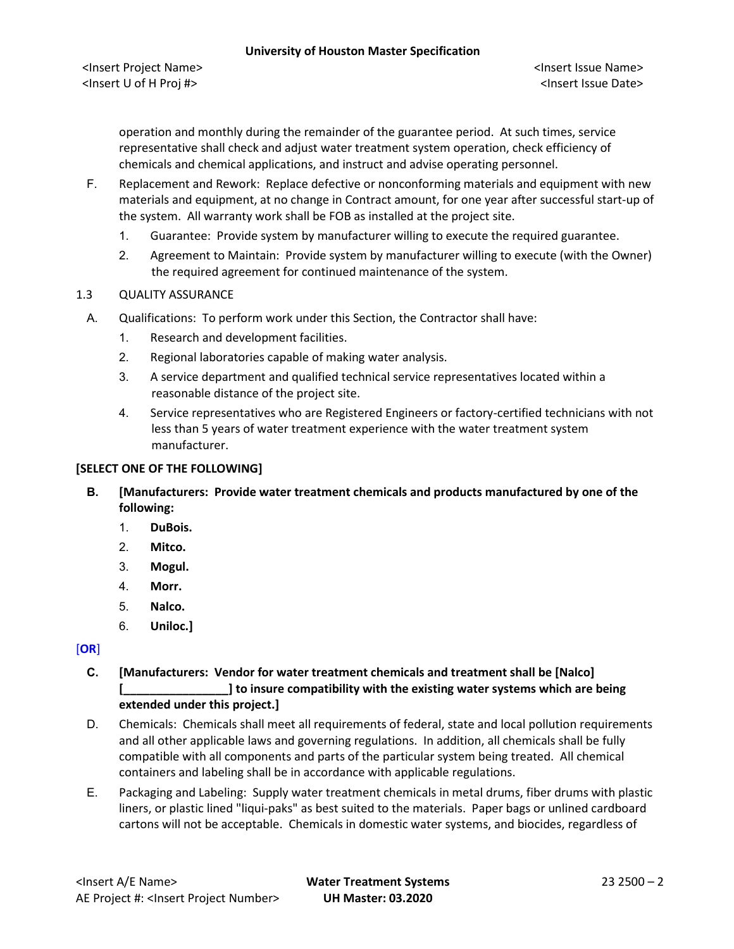<Insert Project Name> <Insert Issue Name> <Insert U of H Proj #> <Insert Issue Date>

operation and monthly during the remainder of the guarantee period. At such times, service representative shall check and adjust water treatment system operation, check efficiency of chemicals and chemical applications, and instruct and advise operating personnel.

- F. Replacement and Rework: Replace defective or nonconforming materials and equipment with new materials and equipment, at no change in Contract amount, for one year after successful start-up of the system. All warranty work shall be FOB as installed at the project site.
	- 1. Guarantee: Provide system by manufacturer willing to execute the required guarantee.
	- 2. Agreement to Maintain: Provide system by manufacturer willing to execute (with the Owner) the required agreement for continued maintenance of the system.

### 1.3 QUALITY ASSURANCE

- A. Qualifications: To perform work under this Section, the Contractor shall have:
	- 1. Research and development facilities.
	- 2. Regional laboratories capable of making water analysis.
	- 3. A service department and qualified technical service representatives located within a reasonable distance of the project site.
	- 4. Service representatives who are Registered Engineers or factory-certified technicians with not less than 5 years of water treatment experience with the water treatment system manufacturer.

### **[SELECT ONE OF THE FOLLOWING]**

- **B. [Manufacturers: Provide water treatment chemicals and products manufactured by one of the following:**
	- 1. **DuBois.**
	- 2. **Mitco.**
	- 3. **Mogul.**
	- 4. **Morr.**
	- 5. **Nalco.**
	- 6. **Uniloc.]**

[**OR**]

- **C. [Manufacturers: Vendor for water treatment chemicals and treatment shall be [Nalco] [\_\_\_\_\_\_\_\_\_\_\_\_\_\_\_\_] to insure compatibility with the existing water systems which are being extended under this project.]**
- D. Chemicals: Chemicals shall meet all requirements of federal, state and local pollution requirements and all other applicable laws and governing regulations. In addition, all chemicals shall be fully compatible with all components and parts of the particular system being treated. All chemical containers and labeling shall be in accordance with applicable regulations.
- E. Packaging and Labeling: Supply water treatment chemicals in metal drums, fiber drums with plastic liners, or plastic lined "liqui-paks" as best suited to the materials. Paper bags or unlined cardboard cartons will not be acceptable. Chemicals in domestic water systems, and biocides, regardless of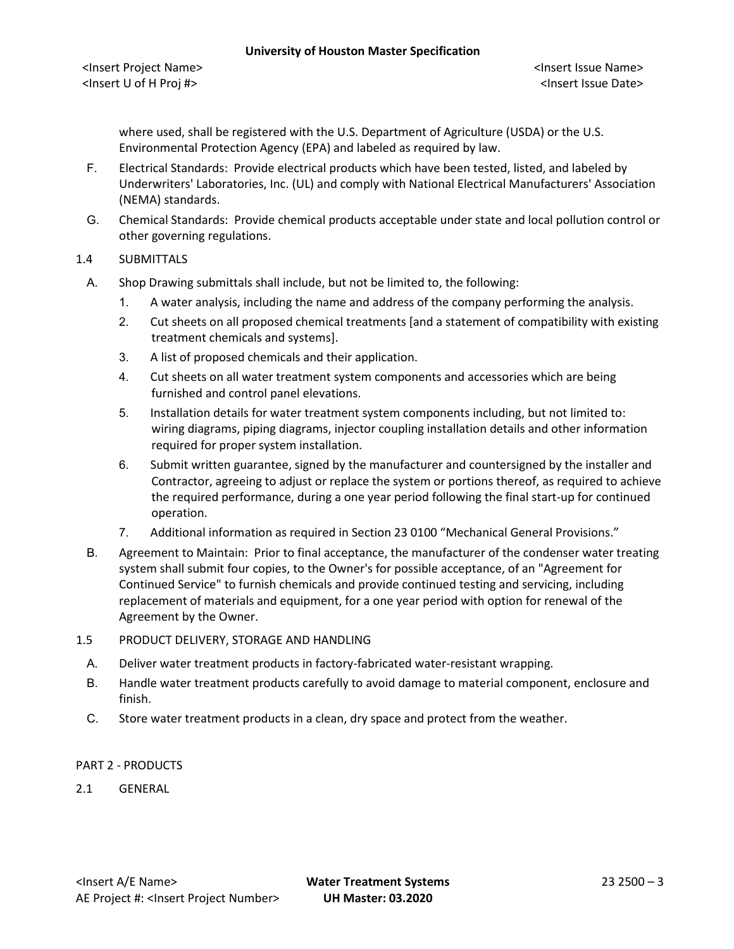<Insert Project Name> <Insert Issue Name> <Insert U of H Proj #> <Insert Issue Date>

where used, shall be registered with the U.S. Department of Agriculture (USDA) or the U.S. Environmental Protection Agency (EPA) and labeled as required by law.

- F. Electrical Standards: Provide electrical products which have been tested, listed, and labeled by Underwriters' Laboratories, Inc. (UL) and comply with National Electrical Manufacturers' Association (NEMA) standards.
- G. Chemical Standards: Provide chemical products acceptable under state and local pollution control or other governing regulations.

# 1.4 SUBMITTALS

- A. Shop Drawing submittals shall include, but not be limited to, the following:
	- 1. A water analysis, including the name and address of the company performing the analysis.
	- 2. Cut sheets on all proposed chemical treatments [and a statement of compatibility with existing treatment chemicals and systems].
	- 3. A list of proposed chemicals and their application.
	- 4. Cut sheets on all water treatment system components and accessories which are being furnished and control panel elevations.
	- 5. Installation details for water treatment system components including, but not limited to: wiring diagrams, piping diagrams, injector coupling installation details and other information required for proper system installation.
	- 6. Submit written guarantee, signed by the manufacturer and countersigned by the installer and Contractor, agreeing to adjust or replace the system or portions thereof, as required to achieve the required performance, during a one year period following the final start-up for continued operation.
	- 7. Additional information as required in Section 23 0100 "Mechanical General Provisions."
- B. Agreement to Maintain: Prior to final acceptance, the manufacturer of the condenser water treating system shall submit four copies, to the Owner's for possible acceptance, of an "Agreement for Continued Service" to furnish chemicals and provide continued testing and servicing, including replacement of materials and equipment, for a one year period with option for renewal of the Agreement by the Owner.
- 1.5 PRODUCT DELIVERY, STORAGE AND HANDLING
	- A. Deliver water treatment products in factory-fabricated water-resistant wrapping.
	- B. Handle water treatment products carefully to avoid damage to material component, enclosure and finish.
	- C. Store water treatment products in a clean, dry space and protect from the weather.

### PART 2 - PRODUCTS

2.1 GENERAL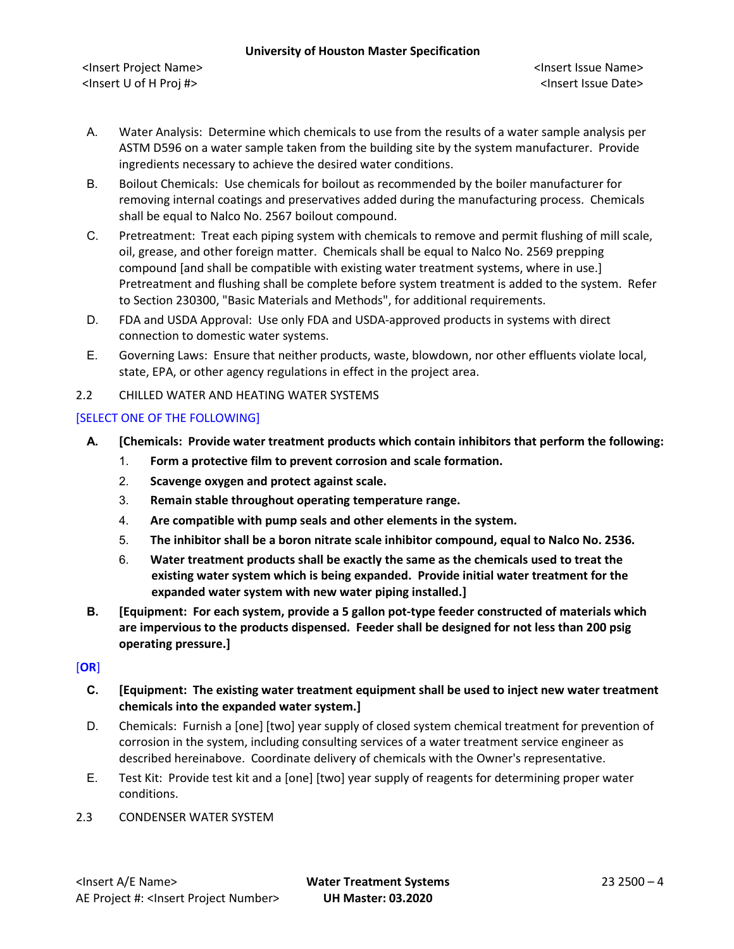- A. Water Analysis: Determine which chemicals to use from the results of a water sample analysis per ASTM D596 on a water sample taken from the building site by the system manufacturer. Provide ingredients necessary to achieve the desired water conditions.
- B. Boilout Chemicals: Use chemicals for boilout as recommended by the boiler manufacturer for removing internal coatings and preservatives added during the manufacturing process. Chemicals shall be equal to Nalco No. 2567 boilout compound.
- C. Pretreatment: Treat each piping system with chemicals to remove and permit flushing of mill scale, oil, grease, and other foreign matter. Chemicals shall be equal to Nalco No. 2569 prepping compound [and shall be compatible with existing water treatment systems, where in use.] Pretreatment and flushing shall be complete before system treatment is added to the system. Refer to Section 230300, "Basic Materials and Methods", for additional requirements.
- D. FDA and USDA Approval: Use only FDA and USDA-approved products in systems with direct connection to domestic water systems.
- E. Governing Laws: Ensure that neither products, waste, blowdown, nor other effluents violate local, state, EPA, or other agency regulations in effect in the project area.
- 2.2 CHILLED WATER AND HEATING WATER SYSTEMS

# [SELECT ONE OF THE FOLLOWING]

- **A. [Chemicals: Provide water treatment products which contain inhibitors that perform the following:**
	- 1. **Form a protective film to prevent corrosion and scale formation.**
	- 2. **Scavenge oxygen and protect against scale.**
	- 3. **Remain stable throughout operating temperature range.**
	- 4. **Are compatible with pump seals and other elements in the system.**
	- 5. **The inhibitor shall be a boron nitrate scale inhibitor compound, equal to Nalco No. 2536.**
	- 6. **Water treatment products shall be exactly the same as the chemicals used to treat the existing water system which is being expanded. Provide initial water treatment for the expanded water system with new water piping installed.]**
- **B. [Equipment: For each system, provide a 5 gallon pot-type feeder constructed of materials which are impervious to the products dispensed. Feeder shall be designed for not less than 200 psig operating pressure.]**

# [**OR**]

- **C. [Equipment: The existing water treatment equipment shall be used to inject new water treatment chemicals into the expanded water system.]**
- D. Chemicals: Furnish a [one] [two] year supply of closed system chemical treatment for prevention of corrosion in the system, including consulting services of a water treatment service engineer as described hereinabove. Coordinate delivery of chemicals with the Owner's representative.
- E. Test Kit: Provide test kit and a [one] [two] year supply of reagents for determining proper water conditions.
- 2.3 CONDENSER WATER SYSTEM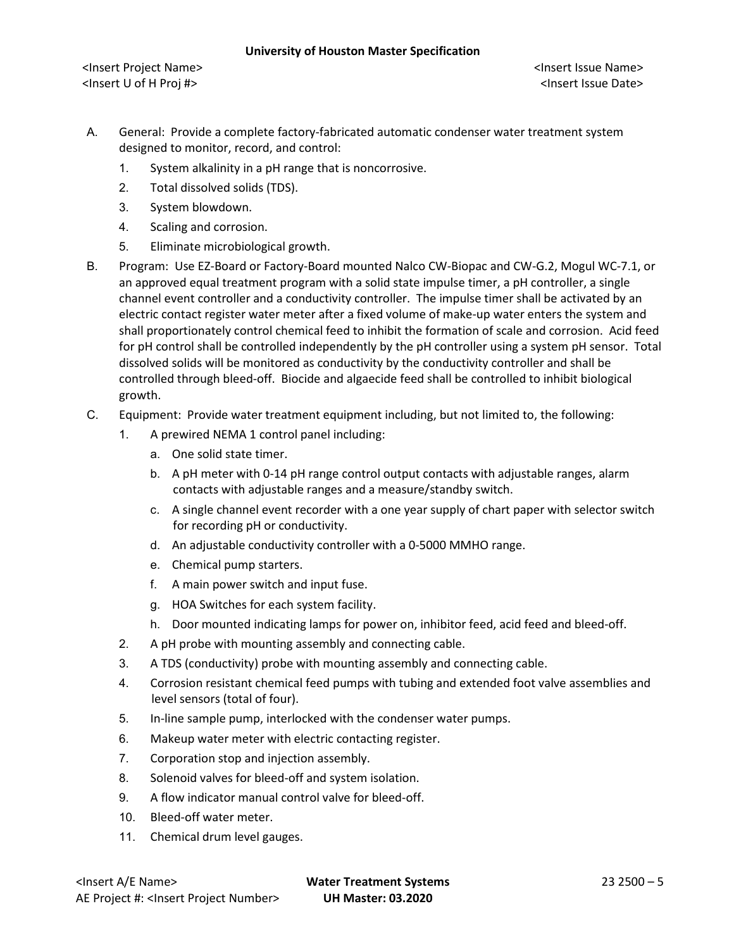- A. General: Provide a complete factory-fabricated automatic condenser water treatment system designed to monitor, record, and control:
	- 1. System alkalinity in a pH range that is noncorrosive.
	- 2. Total dissolved solids (TDS).
	- 3. System blowdown.
	- 4. Scaling and corrosion.
	- 5. Eliminate microbiological growth.
- B. Program: Use EZ-Board or Factory-Board mounted Nalco CW-Biopac and CW-G.2, Mogul WC-7.1, or an approved equal treatment program with a solid state impulse timer, a pH controller, a single channel event controller and a conductivity controller. The impulse timer shall be activated by an electric contact register water meter after a fixed volume of make-up water enters the system and shall proportionately control chemical feed to inhibit the formation of scale and corrosion. Acid feed for pH control shall be controlled independently by the pH controller using a system pH sensor. Total dissolved solids will be monitored as conductivity by the conductivity controller and shall be controlled through bleed-off. Biocide and algaecide feed shall be controlled to inhibit biological growth.
- C. Equipment: Provide water treatment equipment including, but not limited to, the following:
	- 1. A prewired NEMA 1 control panel including:
		- a. One solid state timer.
		- b. A pH meter with 0-14 pH range control output contacts with adjustable ranges, alarm contacts with adjustable ranges and a measure/standby switch.
		- c. A single channel event recorder with a one year supply of chart paper with selector switch for recording pH or conductivity.
		- d. An adjustable conductivity controller with a 0-5000 MMHO range.
		- e. Chemical pump starters.
		- f. A main power switch and input fuse.
		- g. HOA Switches for each system facility.
		- h. Door mounted indicating lamps for power on, inhibitor feed, acid feed and bleed-off.
	- 2. A pH probe with mounting assembly and connecting cable.
	- 3. A TDS (conductivity) probe with mounting assembly and connecting cable.
	- 4. Corrosion resistant chemical feed pumps with tubing and extended foot valve assemblies and level sensors (total of four).
	- 5. In-line sample pump, interlocked with the condenser water pumps.
	- 6. Makeup water meter with electric contacting register.
	- 7. Corporation stop and injection assembly.
	- 8. Solenoid valves for bleed-off and system isolation.
	- 9. A flow indicator manual control valve for bleed-off.
	- 10. Bleed-off water meter.
	- 11. Chemical drum level gauges.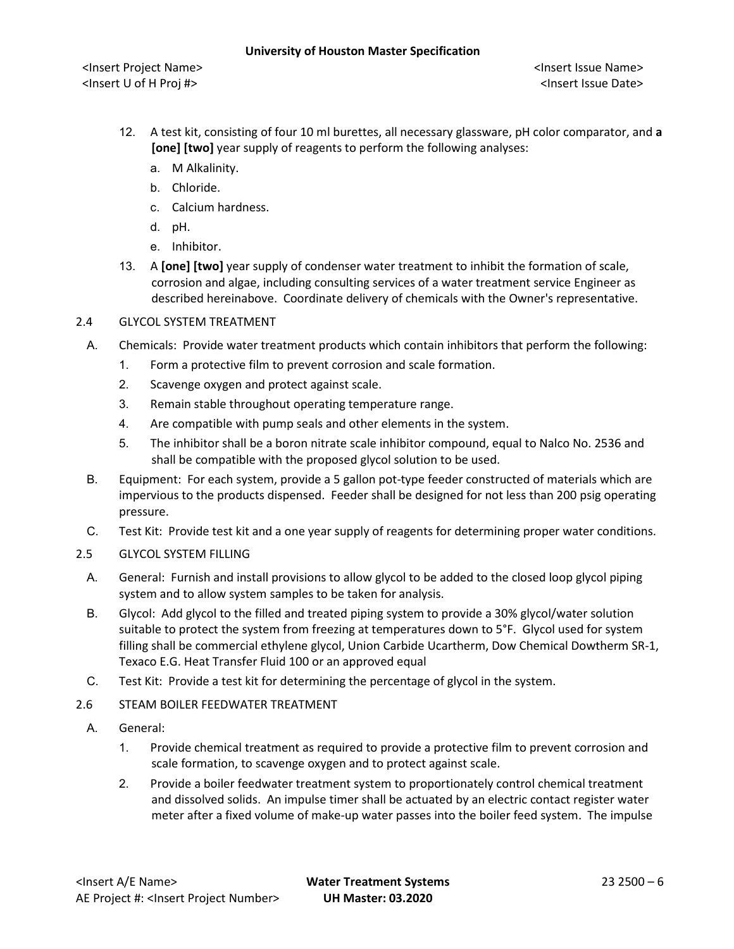- 12. A test kit, consisting of four 10 ml burettes, all necessary glassware, pH color comparator, and **a [one] [two]** year supply of reagents to perform the following analyses:
	- a. M Alkalinity.
	- b. Chloride.
	- c. Calcium hardness.
	- d. pH.
	- e. Inhibitor.
- 13. A **[one] [two]** year supply of condenser water treatment to inhibit the formation of scale, corrosion and algae, including consulting services of a water treatment service Engineer as described hereinabove. Coordinate delivery of chemicals with the Owner's representative.

# 2.4 GLYCOL SYSTEM TREATMENT

- A. Chemicals: Provide water treatment products which contain inhibitors that perform the following:
	- 1. Form a protective film to prevent corrosion and scale formation.
	- 2. Scavenge oxygen and protect against scale.
	- 3. Remain stable throughout operating temperature range.
	- 4. Are compatible with pump seals and other elements in the system.
	- 5. The inhibitor shall be a boron nitrate scale inhibitor compound, equal to Nalco No. 2536 and shall be compatible with the proposed glycol solution to be used.
- B. Equipment: For each system, provide a 5 gallon pot-type feeder constructed of materials which are impervious to the products dispensed. Feeder shall be designed for not less than 200 psig operating pressure.
- C. Test Kit: Provide test kit and a one year supply of reagents for determining proper water conditions.
- 2.5 GLYCOL SYSTEM FILLING
	- A. General: Furnish and install provisions to allow glycol to be added to the closed loop glycol piping system and to allow system samples to be taken for analysis.
	- B. Glycol: Add glycol to the filled and treated piping system to provide a 30% glycol/water solution suitable to protect the system from freezing at temperatures down to 5°F. Glycol used for system filling shall be commercial ethylene glycol, Union Carbide Ucartherm, Dow Chemical Dowtherm SR-1, Texaco E.G. Heat Transfer Fluid 100 or an approved equal
	- C. Test Kit: Provide a test kit for determining the percentage of glycol in the system.
- 2.6 STEAM BOILER FEEDWATER TREATMENT
- A. General:
	- 1. Provide chemical treatment as required to provide a protective film to prevent corrosion and scale formation, to scavenge oxygen and to protect against scale.
	- 2. Provide a boiler feedwater treatment system to proportionately control chemical treatment and dissolved solids. An impulse timer shall be actuated by an electric contact register water meter after a fixed volume of make-up water passes into the boiler feed system. The impulse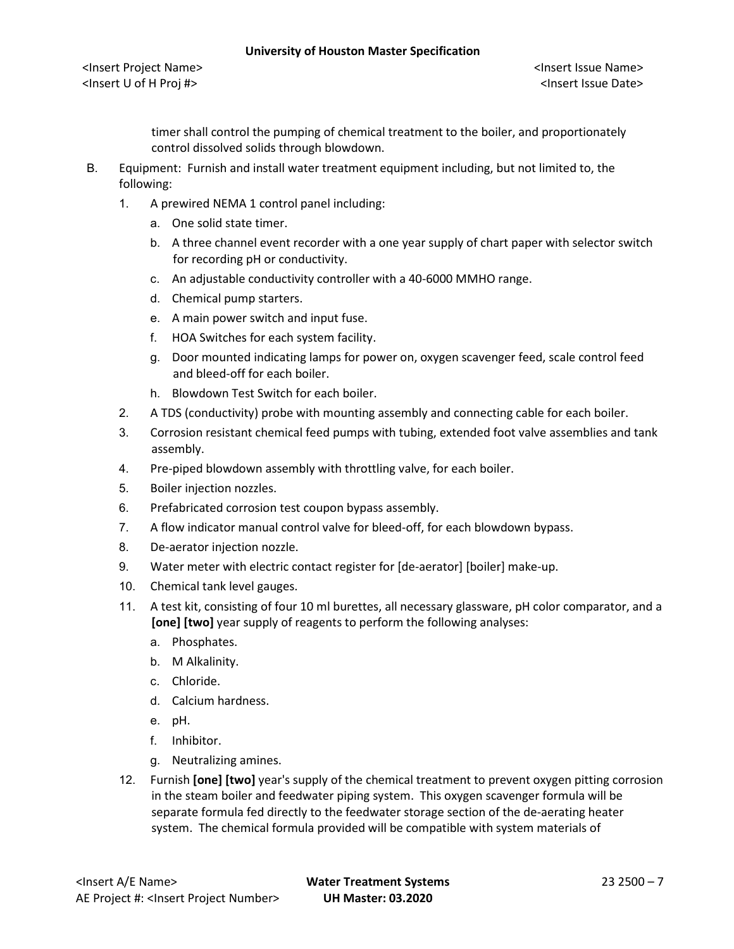timer shall control the pumping of chemical treatment to the boiler, and proportionately control dissolved solids through blowdown.

- B. Equipment: Furnish and install water treatment equipment including, but not limited to, the following:
	- 1. A prewired NEMA 1 control panel including:
		- a. One solid state timer.
		- b. A three channel event recorder with a one year supply of chart paper with selector switch for recording pH or conductivity.
		- c. An adjustable conductivity controller with a 40-6000 MMHO range.
		- d. Chemical pump starters.
		- e. A main power switch and input fuse.
		- f. HOA Switches for each system facility.
		- g. Door mounted indicating lamps for power on, oxygen scavenger feed, scale control feed and bleed-off for each boiler.
		- h. Blowdown Test Switch for each boiler.
	- 2. A TDS (conductivity) probe with mounting assembly and connecting cable for each boiler.
	- 3. Corrosion resistant chemical feed pumps with tubing, extended foot valve assemblies and tank assembly.
	- 4. Pre-piped blowdown assembly with throttling valve, for each boiler.
	- 5. Boiler injection nozzles.
	- 6. Prefabricated corrosion test coupon bypass assembly.
	- 7. A flow indicator manual control valve for bleed-off, for each blowdown bypass.
	- 8. De-aerator injection nozzle.
	- 9. Water meter with electric contact register for [de-aerator] [boiler] make-up.
	- 10. Chemical tank level gauges.
	- 11. A test kit, consisting of four 10 ml burettes, all necessary glassware, pH color comparator, and a **[one] [two]** year supply of reagents to perform the following analyses:
		- a. Phosphates.
		- b. M Alkalinity.
		- c. Chloride.
		- d. Calcium hardness.
		- e. pH.
		- f. Inhibitor.
		- g. Neutralizing amines.
	- 12. Furnish **[one] [two]** year's supply of the chemical treatment to prevent oxygen pitting corrosion in the steam boiler and feedwater piping system. This oxygen scavenger formula will be separate formula fed directly to the feedwater storage section of the de-aerating heater system. The chemical formula provided will be compatible with system materials of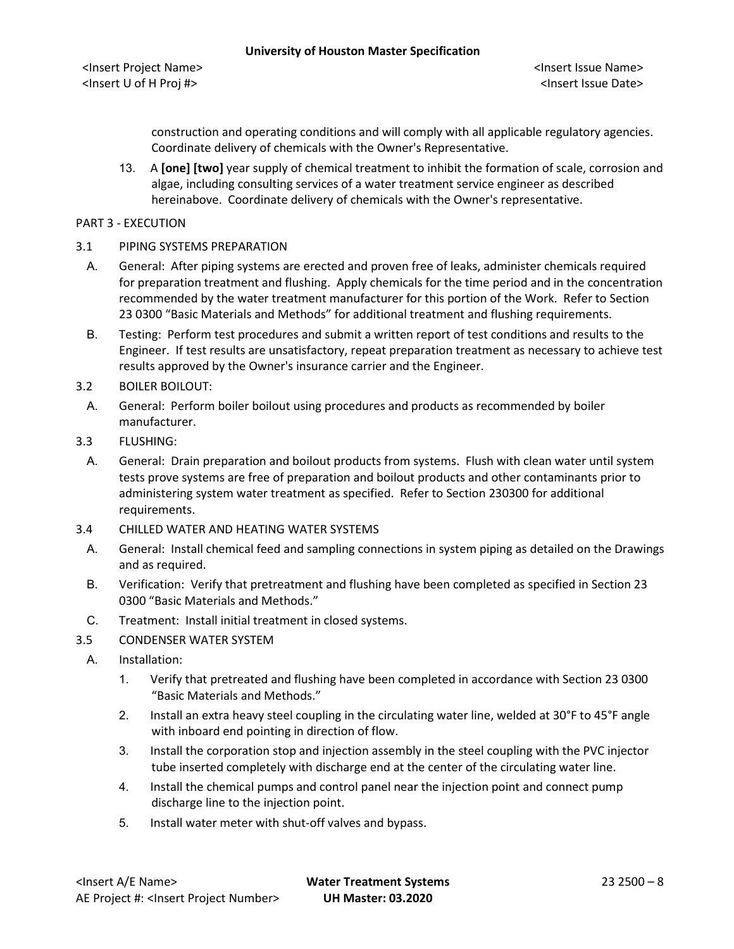construction and operating conditions and will comply with all applicable regulatory agencies. Coordinate delivery of chemicals with the Owner's Representative.

13. A **[one] [two]** year supply of chemical treatment to inhibit the formation of scale, corrosion and algae, including consulting services of a water treatment service engineer as described hereinabove. Coordinate delivery of chemicals with the Owner's representative.

# PART 3 - EXECUTION

### 3.1 PIPING SYSTEMS PREPARATION

- A. General: After piping systems are erected and proven free of leaks, administer chemicals required for preparation treatment and flushing. Apply chemicals for the time period and in the concentration recommended by the water treatment manufacturer for this portion of the Work. Refer to Section 23 0300 "Basic Materials and Methods" for additional treatment and flushing requirements.
- B. Testing: Perform test procedures and submit a written report of test conditions and results to the Engineer. If test results are unsatisfactory, repeat preparation treatment as necessary to achieve test results approved by the Owner's insurance carrier and the Engineer.
- 3.2 BOILER BOILOUT:
- A. General: Perform boiler boilout using procedures and products as recommended by boiler manufacturer.
- 3.3 FLUSHING:
	- A. General: Drain preparation and boilout products from systems. Flush with clean water until system tests prove systems are free of preparation and boilout products and other contaminants prior to administering system water treatment as specified. Refer to Section 230300 for additional requirements.
- 3.4 CHILLED WATER AND HEATING WATER SYSTEMS
- A. General: Install chemical feed and sampling connections in system piping as detailed on the Drawings and as required.
- B. Verification: Verify that pretreatment and flushing have been completed as specified in Section 23 0300 "Basic Materials and Methods."
- C. Treatment: Install initial treatment in closed systems.
- 3.5 CONDENSER WATER SYSTEM
- A. Installation:
	- 1. Verify that pretreated and flushing have been completed in accordance with Section 23 0300 "Basic Materials and Methods."
	- 2. Install an extra heavy steel coupling in the circulating water line, welded at 30°F to 45°F angle with inboard end pointing in direction of flow.
	- 3. Install the corporation stop and injection assembly in the steel coupling with the PVC injector tube inserted completely with discharge end at the center of the circulating water line.
	- 4. Install the chemical pumps and control panel near the injection point and connect pump discharge line to the injection point.
	- 5. Install water meter with shut-off valves and bypass.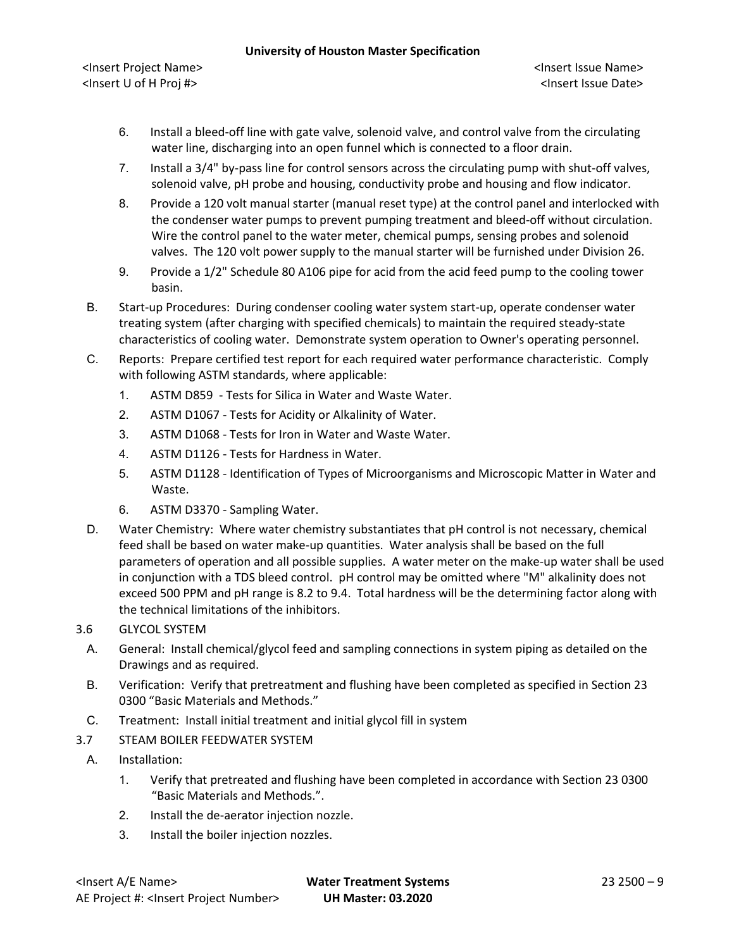<Insert Project Name> <Insert Issue Name> <Insert U of H Proj #> <Insert Issue Date>

- 6. Install a bleed-off line with gate valve, solenoid valve, and control valve from the circulating water line, discharging into an open funnel which is connected to a floor drain.
- 7. Install a 3/4" by-pass line for control sensors across the circulating pump with shut-off valves, solenoid valve, pH probe and housing, conductivity probe and housing and flow indicator.
- 8. Provide a 120 volt manual starter (manual reset type) at the control panel and interlocked with the condenser water pumps to prevent pumping treatment and bleed-off without circulation. Wire the control panel to the water meter, chemical pumps, sensing probes and solenoid valves. The 120 volt power supply to the manual starter will be furnished under Division 26.
- 9. Provide a 1/2" Schedule 80 A106 pipe for acid from the acid feed pump to the cooling tower basin.
- B. Start-up Procedures: During condenser cooling water system start-up, operate condenser water treating system (after charging with specified chemicals) to maintain the required steady-state characteristics of cooling water. Demonstrate system operation to Owner's operating personnel.
- C. Reports: Prepare certified test report for each required water performance characteristic. Comply with following ASTM standards, where applicable:
	- 1. ASTM D859 Tests for Silica in Water and Waste Water.
	- 2. ASTM D1067 Tests for Acidity or Alkalinity of Water.
	- 3. ASTM D1068 Tests for Iron in Water and Waste Water.
	- 4. ASTM D1126 Tests for Hardness in Water.
	- 5. ASTM D1128 Identification of Types of Microorganisms and Microscopic Matter in Water and Waste.
	- 6. ASTM D3370 Sampling Water.
- D. Water Chemistry: Where water chemistry substantiates that pH control is not necessary, chemical feed shall be based on water make-up quantities. Water analysis shall be based on the full parameters of operation and all possible supplies. A water meter on the make-up water shall be used in conjunction with a TDS bleed control. pH control may be omitted where "M" alkalinity does not exceed 500 PPM and pH range is 8.2 to 9.4. Total hardness will be the determining factor along with the technical limitations of the inhibitors.
- 3.6 GLYCOL SYSTEM
	- A. General: Install chemical/glycol feed and sampling connections in system piping as detailed on the Drawings and as required.
	- B. Verification: Verify that pretreatment and flushing have been completed as specified in Section 23 0300 "Basic Materials and Methods."
- C. Treatment: Install initial treatment and initial glycol fill in system
- 3.7 STEAM BOILER FEEDWATER SYSTEM
	- A. Installation:
		- 1. Verify that pretreated and flushing have been completed in accordance with Section 23 0300 "Basic Materials and Methods.".
		- 2. Install the de-aerator injection nozzle.
		- 3. Install the boiler injection nozzles.